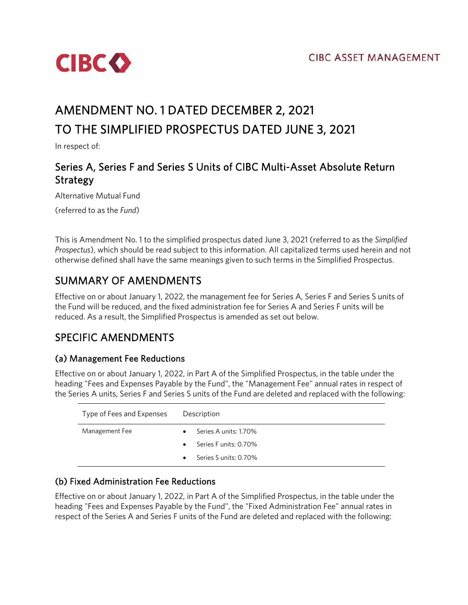

# AMENDMENT NO. 1 DATED DECEMBER 2, 2021 TO THE SIMPLIFIED PROSPECTUS DATED JUNE 3, 2021

In respect of:

### Series A, Series F and Series S Units of CIBC Multi-Asset Absolute Return Strategy

Alternative Mutual Fund

(referred to as the *Fund*)

This is Amendment No. 1 to the simplified prospectus dated June 3, 2021 (referred to as the *Simplified Prospectus*), which should be read subject to this information. All capitalized terms used herein and not otherwise defined shall have the same meanings given to such terms in the Simplified Prospectus.

## SUMMARY OF AMENDMENTS

Effective on or about January 1, 2022, the management fee for Series A, Series F and Series S units of the Fund will be reduced, and the fixed administration fee for Series A and Series F units will be reduced. As a result, the Simplified Prospectus is amended as set out below.

### SPECIFIC AMENDMENTS

#### (a) Management Fee Reductions

Effective on or about January 1, 2022, in Part A of the Simplified Prospectus, in the table under the heading "Fees and Expenses Payable by the Fund", the "Management Fee" annual rates in respect of the Series A units, Series F and Series S units of the Fund are deleted and replaced with the following:

| Type of Fees and Expenses | Description                        |
|---------------------------|------------------------------------|
| Management Fee            | Series A units: 1.70%<br>$\bullet$ |
|                           | Series Funits: 0.70%<br>$\bullet$  |
|                           | Series S units: 0.70%<br>$\bullet$ |

#### (b) Fixed Administration Fee Reductions

Effective on or about January 1, 2022, in Part A of the Simplified Prospectus, in the table under the heading "Fees and Expenses Payable by the Fund", the "Fixed Administration Fee" annual rates in respect of the Series A and Series F units of the Fund are deleted and replaced with the following: